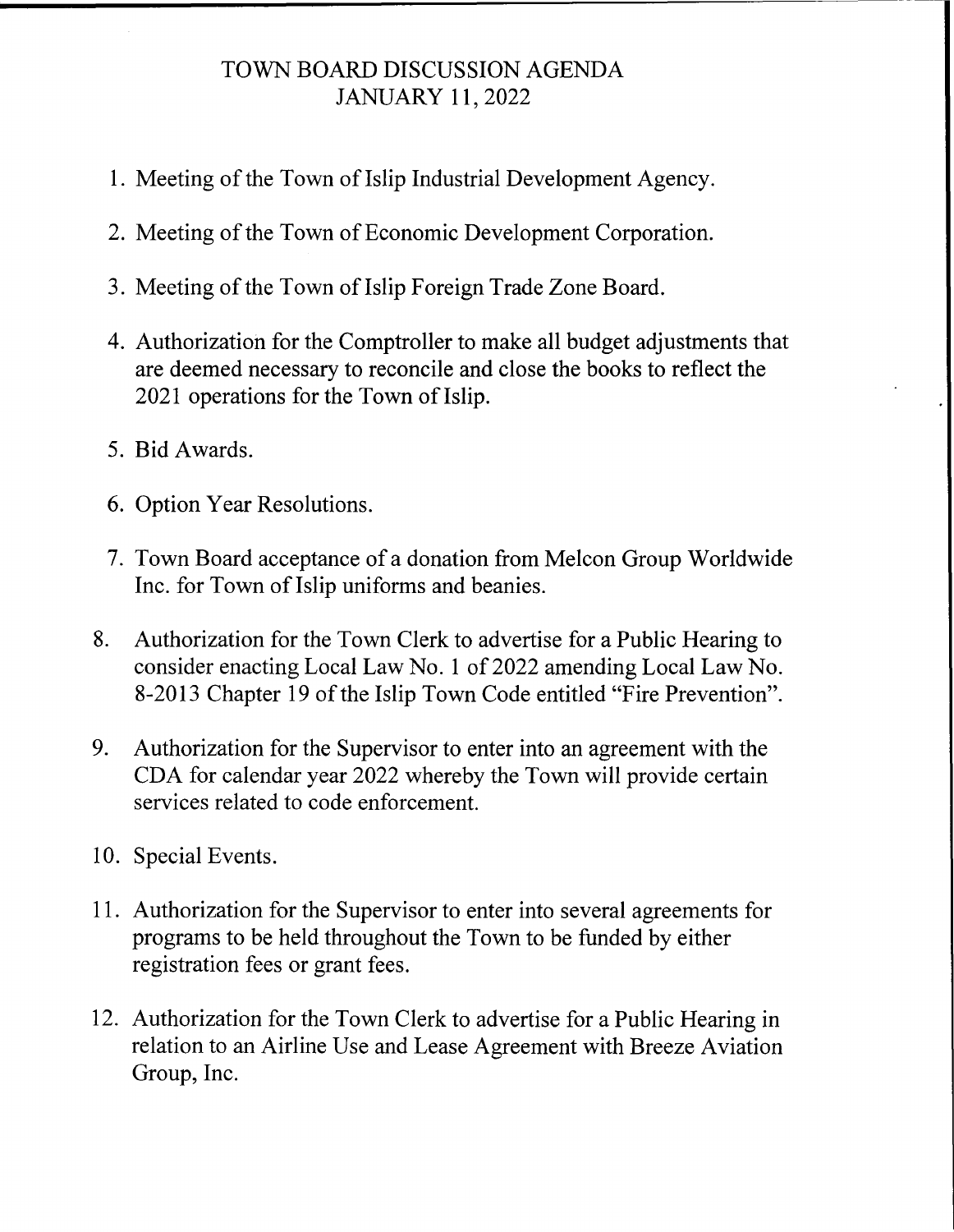## TOWN BOARD DISCUSSION AGENDA JANUARY 11, 2022

- 1. Meeting of the Town of Islip Industrial Development Agency.
- 2. Meeting of the Town of Economic Development Corporation.
- 3. Meeting of the Town of Islip Foreign Trade Zone Board.
- 4. Authorization for the Comptroller to make all budget adjustments that are deemed necessary to reconcile and close the books to reflect the 2021 operations for the Town of Islip.
- 5. Bid Awards.
- 6. Option Year Resolutions.
- 7. Town Board acceptance of a donation from Melcon Group Worldwide Inc. for Town of Islip uniforms and beanies.
- 8. Authorization for the Town Clerk to advertise for a Public Hearing to consider enacting Local Law No. 1 of 2022 amending Local Law No. 8-2013 Chapter 19 of the Islip Town Code entitled "Fire Prevention".
- 9. Authorization for the Supervisor to enter into an agreement with the CDA for calendar year 2022 whereby the Town will provide certain services related to code enforcement.
- 10. Special Events.
- 11. Authorization for the Supervisor to enter into several agreements for programs to be held throughout the Town to be funded by either registration fees or grant fees.
- 12. Authorization for the Town Clerk to advertise for a Public Hearing in relation to an Airline Use and Lease Agreement with Breeze Aviation Group, Inc.